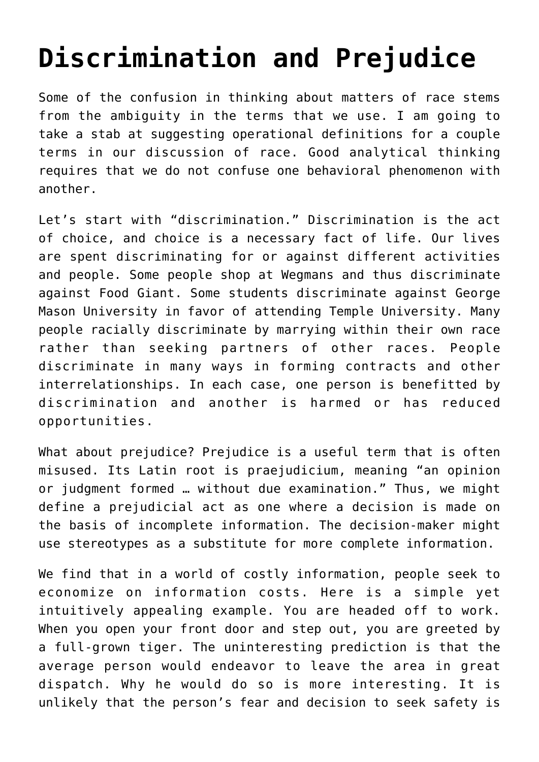## **[Discrimination and Prejudice](https://intellectualtakeout.org/2020/11/discrimination-and-prejudice/)**

Some of the confusion in thinking about matters of race stems from the ambiguity in the terms that we use. I am going to take a stab at suggesting operational definitions for a couple terms in our discussion of race. Good analytical thinking requires that we do not confuse one behavioral phenomenon with another.

Let's start with "discrimination." Discrimination is the act of choice, and choice is a necessary fact of life. Our lives are spent discriminating for or against different activities and people. Some people shop at Wegmans and thus discriminate against Food Giant. Some students discriminate against George Mason University in favor of attending Temple University. Many people racially discriminate by marrying within their own race rather than seeking partners of other races. People discriminate in many ways in forming contracts and other interrelationships. In each case, one person is benefitted by discrimination and another is harmed or has reduced opportunities.

What about prejudice? Prejudice is a useful term that is often misused. Its Latin root is praejudicium, meaning "an opinion or judgment formed … without due examination." Thus, we might define a prejudicial act as one where a decision is made on the basis of incomplete information. The decision-maker might use stereotypes as a substitute for more complete information.

We find that in a world of costly information, people seek to economize on information costs. Here is a simple yet intuitively appealing example. You are headed off to work. When you open your front door and step out, you are greeted by a full-grown tiger. The uninteresting prediction is that the average person would endeavor to leave the area in great dispatch. Why he would do so is more interesting. It is unlikely that the person's fear and decision to seek safety is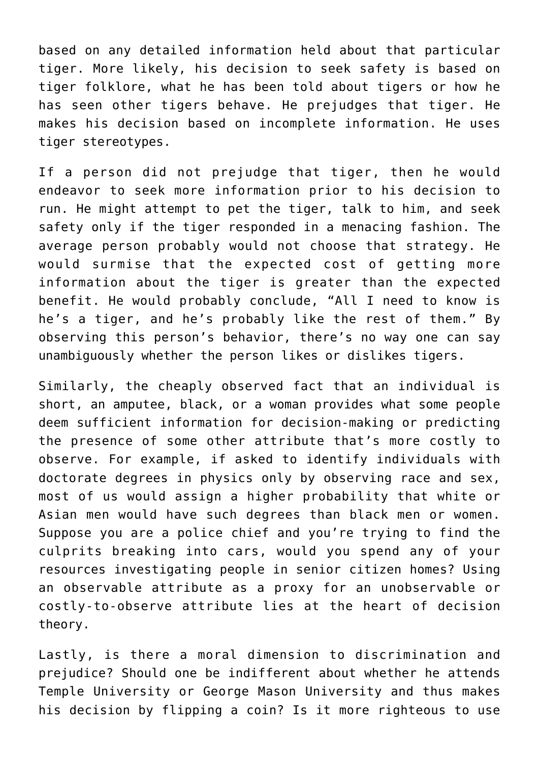based on any detailed information held about that particular tiger. More likely, his decision to seek safety is based on tiger folklore, what he has been told about tigers or how he has seen other tigers behave. He prejudges that tiger. He makes his decision based on incomplete information. He uses tiger stereotypes.

If a person did not prejudge that tiger, then he would endeavor to seek more information prior to his decision to run. He might attempt to pet the tiger, talk to him, and seek safety only if the tiger responded in a menacing fashion. The average person probably would not choose that strategy. He would surmise that the expected cost of getting more information about the tiger is greater than the expected benefit. He would probably conclude, "All I need to know is he's a tiger, and he's probably like the rest of them." By observing this person's behavior, there's no way one can say unambiguously whether the person likes or dislikes tigers.

Similarly, the cheaply observed fact that an individual is short, an amputee, black, or a woman provides what some people deem sufficient information for decision-making or predicting the presence of some other attribute that's more costly to observe. For example, if asked to identify individuals with doctorate degrees in physics only by observing race and sex, most of us would assign a higher probability that white or Asian men would have such degrees than black men or women. Suppose you are a police chief and you're trying to find the culprits breaking into cars, would you spend any of your resources investigating people in senior citizen homes? Using an observable attribute as a proxy for an unobservable or costly-to-observe attribute lies at the heart of decision theory.

Lastly, is there a moral dimension to discrimination and prejudice? Should one be indifferent about whether he attends Temple University or George Mason University and thus makes his decision by flipping a coin? Is it more righteous to use